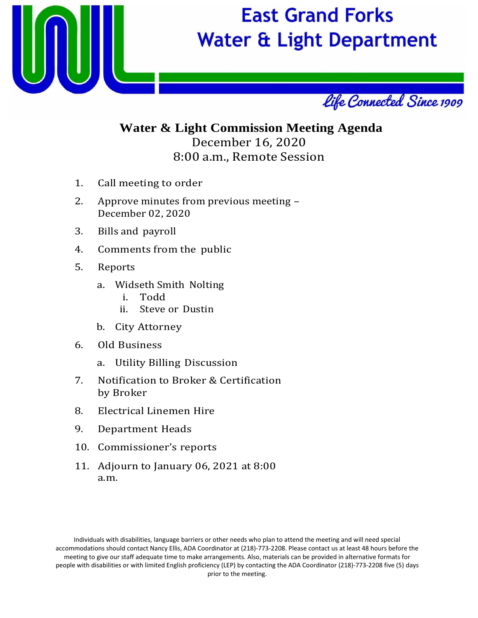

# **East Grand Forks Water & Light Department**



# **Water & Light Commission Meeting Agenda** December 16, 2020 8:00 a.m., Remote Session

- 1. Call meeting to order
- 2. Approve minutes from previous meeting December 02, 2020
- 3. Bills and payroll
- 4. Comments from the public
- 5. Reports
	- a. Widseth Smith Nolting
		- i. Todd
		- ii. Steve or Dustin
	- b. City Attorney
- 6. Old Business
	- a. Utility Billing Discussion
- 7. Notification to Broker & Certification by Broker
- 8. Electrical Linemen Hire
- 9. Department Heads
- 10. Commissioner's reports
- 11. Adjourn to January 06, 2021 at 8:00 a.m.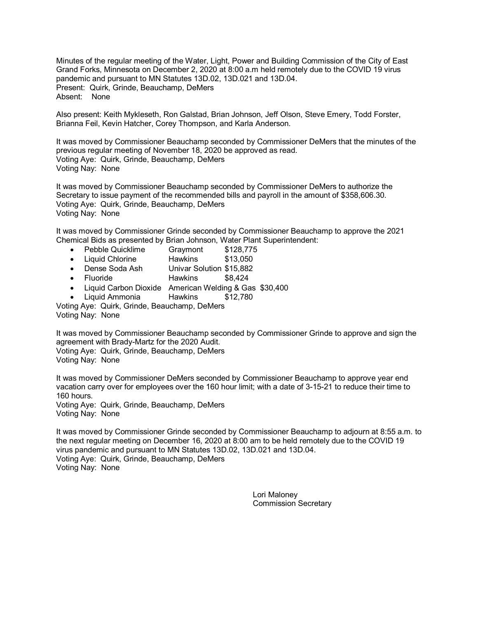Minutes of the regular meeting of the Water, Light, Power and Building Commission of the City of East Grand Forks, Minnesota on December 2, 2020 at 8:00 a.m held remotely due to the COVID 19 virus pandemic and pursuant to MN Statutes 13D.02, 13D.021 and 13D.04. Present: Quirk, Grinde, Beauchamp, DeMers Absent: None

Also present: Keith Mykleseth, Ron Galstad, Brian Johnson, Jeff Olson, Steve Emery, Todd Forster, Brianna Feil, Kevin Hatcher, Corey Thompson, and Karla Anderson.

It was moved by Commissioner Beauchamp seconded by Commissioner DeMers that the minutes of the previous regular meeting of November 18, 2020 be approved as read. Voting Aye: Quirk, Grinde, Beauchamp, DeMers Voting Nay: None

It was moved by Commissioner Beauchamp seconded by Commissioner DeMers to authorize the Secretary to issue payment of the recommended bills and payroll in the amount of \$358,606.30. Voting Aye: Quirk, Grinde, Beauchamp, DeMers Voting Nay: None

It was moved by Commissioner Grinde seconded by Commissioner Beauchamp to approve the 2021 Chemical Bids as presented by Brian Johnson, Water Plant Superintendent:

- Pebble Quicklime Graymont \$128,775
- Liquid Chlorine Hawkins \$13,050
- Dense Soda Ash Univar Solution \$15,882
- Fluoride **Hawkins** \$8,424
- Liquid Carbon Dioxide American Welding & Gas \$30,400
- Liquid Ammonia Hawkins \$12,780

Voting Aye: Quirk, Grinde, Beauchamp, DeMers Voting Nay: None

It was moved by Commissioner Beauchamp seconded by Commissioner Grinde to approve and sign the agreement with Brady-Martz for the 2020 Audit. Voting Aye: Quirk, Grinde, Beauchamp, DeMers

Voting Nay: None

It was moved by Commissioner DeMers seconded by Commissioner Beauchamp to approve year end vacation carry over for employees over the 160 hour limit; with a date of 3-15-21 to reduce their time to 160 hours.

Voting Aye: Quirk, Grinde, Beauchamp, DeMers Voting Nay: None

It was moved by Commissioner Grinde seconded by Commissioner Beauchamp to adjourn at 8:55 a.m. to the next regular meeting on December 16, 2020 at 8:00 am to be held remotely due to the COVID 19 virus pandemic and pursuant to MN Statutes 13D.02, 13D.021 and 13D.04. Voting Aye: Quirk, Grinde, Beauchamp, DeMers Voting Nay: None

> Lori Maloney Commission Secretary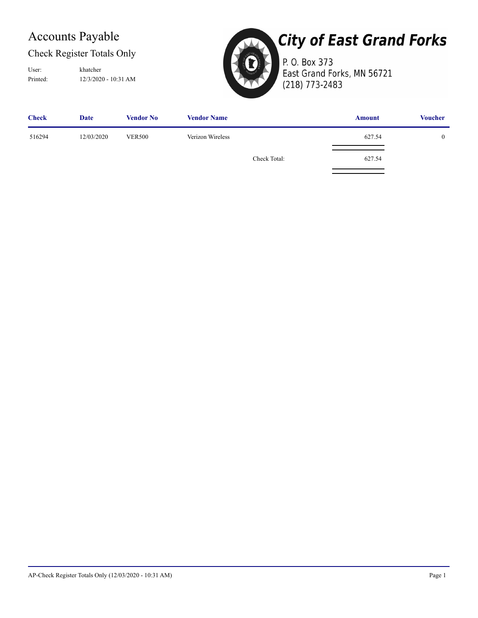# Accounts Payable

### Check Register Totals Only

Printed: 12/3/2020 - 10:31 AM User: khatcher



# **City of East Grand Forks**

P. O. Box 373 East Grand Forks, MN 56721 (218) 773-2483

| <b>Check</b> | <b>Date</b> | <b>Vendor No</b> | <b>Vendor Name</b> |              | <b>Amount</b> | <b>Voucher</b> |
|--------------|-------------|------------------|--------------------|--------------|---------------|----------------|
| 516294       | 12/03/2020  | <b>VER500</b>    | Verizon Wireless   |              | 627.54        | $\overline{0}$ |
|              |             |                  |                    | Check Total: | 627.54        |                |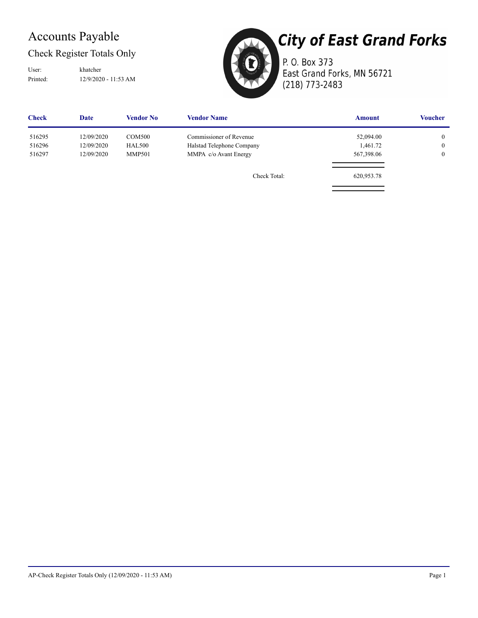# Accounts Payable

### Check Register Totals Only

Printed: 12/9/2020 - 11:53 AM User: khatcher



# **City of East Grand Forks**

P. O. Box 373 East Grand Forks, MN 56721 (218) 773-2483

| <b>Check</b> | <b>Date</b> | <b>Vendor No</b> | <b>Vendor Name</b>        | <b>Amount</b> | <b>Voucher</b> |
|--------------|-------------|------------------|---------------------------|---------------|----------------|
| 516295       | 12/09/2020  | <b>COM500</b>    | Commissioner of Revenue   | 52,094.00     | $\overline{0}$ |
| 516296       | 12/09/2020  | <b>HAL500</b>    | Halstad Telephone Company | 1,461.72      | $\overline{0}$ |
| 516297       | 12/09/2020  | <b>MMP501</b>    | MMPA c/o Avant Energy     | 567,398.06    | $\overline{0}$ |
|              |             |                  | Check Total:              | 620,953.78    |                |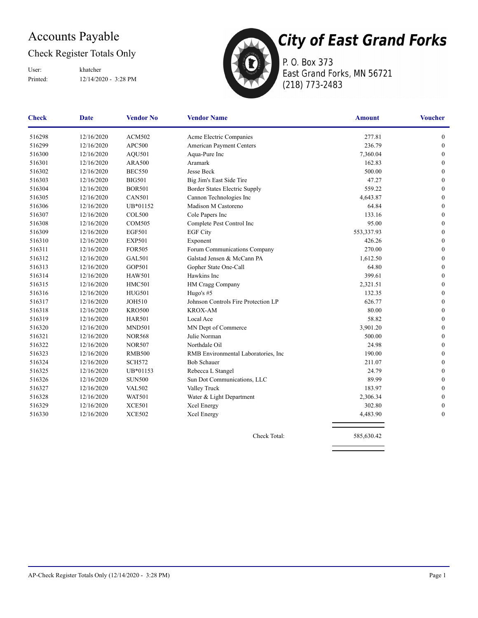# Accounts Payable

### Check Register Totals Only

Printed: 12/14/2020 - 3:28 PM User: khatcher



P. O. Box 373 East Grand Forks, MN 56721 (218) 773-2483

| <b>Check</b> | <b>Date</b> | <b>Vendor No</b> | <b>Vendor Name</b>                   | <b>Amount</b> | <b>Voucher</b>   |
|--------------|-------------|------------------|--------------------------------------|---------------|------------------|
| 516298       | 12/16/2020  | <b>ACM502</b>    | Acme Electric Companies              | 277.81        | $\boldsymbol{0}$ |
| 516299       | 12/16/2020  | <b>APC500</b>    | American Payment Centers             | 236.79        | $\boldsymbol{0}$ |
| 516300       | 12/16/2020  | AQU501           | Aqua-Pure Inc                        | 7,360.04      | $\mathbf{0}$     |
| 516301       | 12/16/2020  | <b>ARA500</b>    | Aramark                              | 162.83        | $\mathbf{0}$     |
| 516302       | 12/16/2020  | <b>BEC550</b>    | Jesse Beck                           | 500.00        | $\mathbf{0}$     |
| 516303       | 12/16/2020  | <b>BIG501</b>    | Big Jim's East Side Tire             | 47.27         | $\mathbf{0}$     |
| 516304       | 12/16/2020  | <b>BOR501</b>    | Border States Electric Supply        | 559.22        | $\mathbf{0}$     |
| 516305       | 12/16/2020  | <b>CAN501</b>    | Cannon Technologies Inc              | 4,643.87      | $\boldsymbol{0}$ |
| 516306       | 12/16/2020  | UB*01152         | Madison M Castoreno                  | 64.84         | $\mathbf{0}$     |
| 516307       | 12/16/2020  | <b>COL500</b>    | Cole Papers Inc                      | 133.16        | $\mathbf{0}$     |
| 516308       | 12/16/2020  | <b>COM505</b>    | Complete Pest Control Inc            | 95.00         | $\mathbf{0}$     |
| 516309       | 12/16/2020  | <b>EGF501</b>    | <b>EGF City</b>                      | 553,337.93    | $\mathbf{0}$     |
| 516310       | 12/16/2020  | <b>EXP501</b>    | Exponent                             | 426.26        | $\boldsymbol{0}$ |
| 516311       | 12/16/2020  | <b>FOR505</b>    | Forum Communications Company         | 270.00        | $\mathbf{0}$     |
| 516312       | 12/16/2020  | <b>GAL501</b>    | Galstad Jensen & McCann PA           | 1,612.50      | $\mathbf{0}$     |
| 516313       | 12/16/2020  | GOP501           | Gopher State One-Call                | 64.80         | $\mathbf{0}$     |
| 516314       | 12/16/2020  | <b>HAW501</b>    | Hawkins Inc                          | 399.61        | $\boldsymbol{0}$ |
| 516315       | 12/16/2020  | <b>HMC501</b>    | HM Cragg Company                     | 2,321.51      | $\mathbf{0}$     |
| 516316       | 12/16/2020  | <b>HUG501</b>    | Hugo's $#5$                          | 132.35        | $\mathbf{0}$     |
| 516317       | 12/16/2020  | <b>JOH510</b>    | Johnson Controls Fire Protection LP  | 626.77        | $\mathbf{0}$     |
| 516318       | 12/16/2020  | <b>KRO500</b>    | <b>KROX-AM</b>                       | 80.00         | $\mathbf{0}$     |
| 516319       | 12/16/2020  | <b>HAR501</b>    | Local Ace                            | 58.82         | $\boldsymbol{0}$ |
| 516320       | 12/16/2020  | <b>MND501</b>    | MN Dept of Commerce                  | 3,901.20      | $\boldsymbol{0}$ |
| 516321       | 12/16/2020  | <b>NOR568</b>    | Julie Norman                         | 500.00        | $\mathbf{0}$     |
| 516322       | 12/16/2020  | <b>NOR507</b>    | Northdale Oil                        | 24.98         | $\boldsymbol{0}$ |
| 516323       | 12/16/2020  | <b>RMB500</b>    | RMB Environmental Laboratories, Inc. | 190.00        | $\boldsymbol{0}$ |
| 516324       | 12/16/2020  | <b>SCH572</b>    | <b>Bob Schauer</b>                   | 211.07        | $\mathbf{0}$     |
| 516325       | 12/16/2020  | UB*01153         | Rebecca L Stangel                    | 24.79         | $\boldsymbol{0}$ |
| 516326       | 12/16/2020  | <b>SUN500</b>    | Sun Dot Communications, LLC          | 89.99         | $\mathbf{0}$     |
| 516327       | 12/16/2020  | <b>VAL502</b>    | Valley Truck                         | 183.97        | $\theta$         |
| 516328       | 12/16/2020  | <b>WAT501</b>    | Water & Light Department             | 2,306.34      | $\boldsymbol{0}$ |
| 516329       | 12/16/2020  | <b>XCE501</b>    | Xcel Energy                          | 302.80        | $\boldsymbol{0}$ |
| 516330       | 12/16/2020  | <b>XCE502</b>    | Xcel Energy                          | 4,483.90      | $\mathbf{0}$     |

Check Total: 585,630.42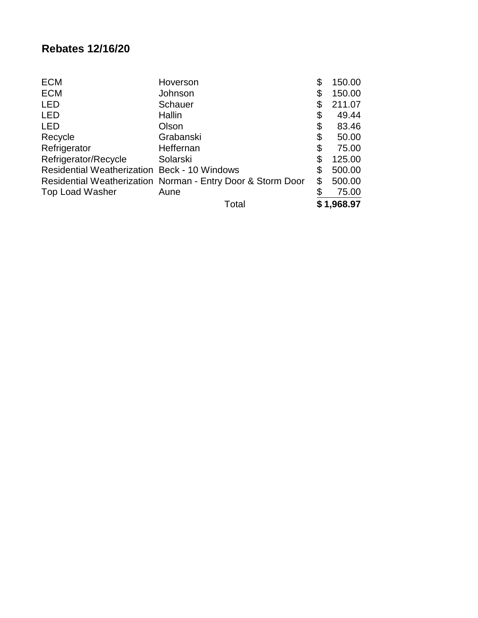## **Rebates 12/16/20**

| <b>ECM</b>                                          | Hoverson                                                    | \$<br>150.00 |
|-----------------------------------------------------|-------------------------------------------------------------|--------------|
| <b>ECM</b>                                          | Johnson                                                     | \$<br>150.00 |
| <b>LED</b>                                          | Schauer                                                     | \$<br>211.07 |
| <b>LED</b>                                          | Hallin                                                      | \$<br>49.44  |
| <b>LED</b>                                          | Olson                                                       | \$<br>83.46  |
| Recycle                                             | Grabanski                                                   | \$<br>50.00  |
| Refrigerator                                        | Heffernan                                                   | \$<br>75.00  |
| Refrigerator/Recycle                                | Solarski                                                    | \$<br>125.00 |
| <b>Residential Weatherization Beck - 10 Windows</b> |                                                             | \$<br>500.00 |
|                                                     | Residential Weatherization Norman - Entry Door & Storm Door | \$<br>500.00 |
| <b>Top Load Washer</b>                              | Aune                                                        | 75.00        |
|                                                     | Total                                                       | \$1,968.97   |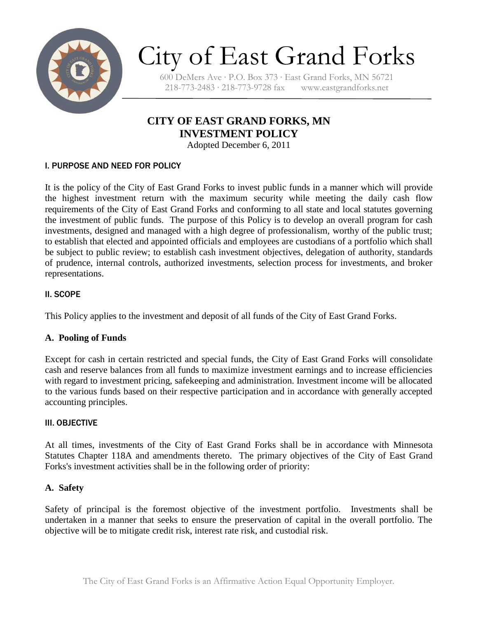

# City of East Grand Forks

600 DeMers Ave ∙ P.O. Box 373 ∙ East Grand Forks, MN 56721 218-773-2483 ∙ 218-773-9728 fax www.eastgrandforks.net

## **CITY OF EAST GRAND FORKS, MN INVESTMENT POLICY**

Adopted December 6, 2011

#### I. PURPOSE AND NEED FOR POLICY

It is the policy of the City of East Grand Forks to invest public funds in a manner which will provide the highest investment return with the maximum security while meeting the daily cash flow requirements of the City of East Grand Forks and conforming to all state and local statutes governing the investment of public funds. The purpose of this Policy is to develop an overall program for cash investments, designed and managed with a high degree of professionalism, worthy of the public trust; to establish that elected and appointed officials and employees are custodians of a portfolio which shall be subject to public review; to establish cash investment objectives, delegation of authority, standards of prudence, internal controls, authorized investments, selection process for investments, and broker representations.

#### II. SCOPE

This Policy applies to the investment and deposit of all funds of the City of East Grand Forks.

#### **A. Pooling of Funds**

Except for cash in certain restricted and special funds, the City of East Grand Forks will consolidate cash and reserve balances from all funds to maximize investment earnings and to increase efficiencies with regard to investment pricing, safekeeping and administration. Investment income will be allocated to the various funds based on their respective participation and in accordance with generally accepted accounting principles.

#### III. OBJECTIVE

At all times, investments of the City of East Grand Forks shall be in accordance with Minnesota Statutes Chapter 118A and amendments thereto. The primary objectives of the City of East Grand Forks's investment activities shall be in the following order of priority:

#### **A. Safety**

Safety of principal is the foremost objective of the investment portfolio. Investments shall be undertaken in a manner that seeks to ensure the preservation of capital in the overall portfolio. The objective will be to mitigate credit risk, interest rate risk, and custodial risk.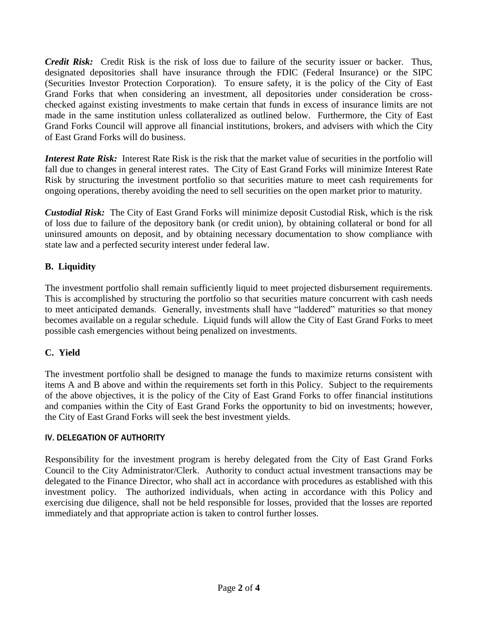*Credit Risk:* Credit Risk is the risk of loss due to failure of the security issuer or backer. Thus, designated depositories shall have insurance through the FDIC (Federal Insurance) or the SIPC (Securities Investor Protection Corporation). To ensure safety, it is the policy of the City of East Grand Forks that when considering an investment, all depositories under consideration be crosschecked against existing investments to make certain that funds in excess of insurance limits are not made in the same institution unless collateralized as outlined below. Furthermore, the City of East Grand Forks Council will approve all financial institutions, brokers, and advisers with which the City of East Grand Forks will do business.

*Interest Rate Risk:* Interest Rate Risk is the risk that the market value of securities in the portfolio will fall due to changes in general interest rates. The City of East Grand Forks will minimize Interest Rate Risk by structuring the investment portfolio so that securities mature to meet cash requirements for ongoing operations, thereby avoiding the need to sell securities on the open market prior to maturity.

*Custodial Risk:* The City of East Grand Forks will minimize deposit Custodial Risk, which is the risk of loss due to failure of the depository bank (or credit union), by obtaining collateral or bond for all uninsured amounts on deposit, and by obtaining necessary documentation to show compliance with state law and a perfected security interest under federal law.

#### **B. Liquidity**

The investment portfolio shall remain sufficiently liquid to meet projected disbursement requirements. This is accomplished by structuring the portfolio so that securities mature concurrent with cash needs to meet anticipated demands. Generally, investments shall have "laddered" maturities so that money becomes available on a regular schedule. Liquid funds will allow the City of East Grand Forks to meet possible cash emergencies without being penalized on investments.

#### **C. Yield**

The investment portfolio shall be designed to manage the funds to maximize returns consistent with items A and B above and within the requirements set forth in this Policy.Subject to the requirements of the above objectives, it is the policy of the City of East Grand Forks to offer financial institutions and companies within the City of East Grand Forks the opportunity to bid on investments; however, the City of East Grand Forks will seek the best investment yields.

#### IV. DELEGATION OF AUTHORITY

Responsibility for the investment program is hereby delegated from the City of East Grand Forks Council to the City Administrator/Clerk. Authority to conduct actual investment transactions may be delegated to the Finance Director, who shall act in accordance with procedures as established with this investment policy. The authorized individuals, when acting in accordance with this Policy and exercising due diligence, shall not be held responsible for losses, provided that the losses are reported immediately and that appropriate action is taken to control further losses.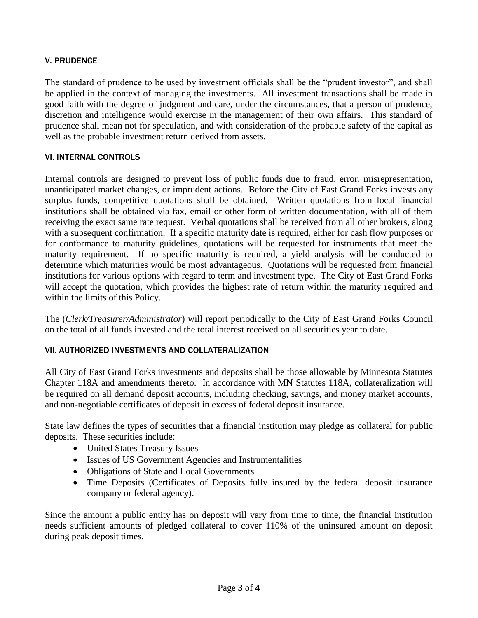#### V. PRUDENCE

The standard of prudence to be used by investment officials shall be the "prudent investor", and shall be applied in the context of managing the investments. All investment transactions shall be made in good faith with the degree of judgment and care, under the circumstances, that a person of prudence, discretion and intelligence would exercise in the management of their own affairs. This standard of prudence shall mean not for speculation, and with consideration of the probable safety of the capital as well as the probable investment return derived from assets.

#### VI. INTERNAL CONTROLS

Internal controls are designed to prevent loss of public funds due to fraud, error, misrepresentation, unanticipated market changes, or imprudent actions. Before the City of East Grand Forks invests any surplus funds, competitive quotations shall be obtained. Written quotations from local financial institutions shall be obtained via fax, email or other form of written documentation, with all of them receiving the exact same rate request.Verbal quotations shall be received from all other brokers, along with a subsequent confirmation. If a specific maturity date is required, either for cash flow purposes or for conformance to maturity guidelines, quotations will be requested for instruments that meet the maturity requirement. If no specific maturity is required, a yield analysis will be conducted to determine which maturities would be most advantageous. Quotations will be requested from financial institutions for various options with regard to term and investment type. The City of East Grand Forks will accept the quotation, which provides the highest rate of return within the maturity required and within the limits of this Policy.

The (*Clerk/Treasurer/Administrator*) will report periodically to the City of East Grand Forks Council on the total of all funds invested and the total interest received on all securities year to date.

#### VII. AUTHORIZED INVESTMENTS AND COLLATERALIZATION

All City of East Grand Forks investments and deposits shall be those allowable by Minnesota Statutes Chapter 118A and amendments thereto. In accordance with MN Statutes 118A, collateralization will be required on all demand deposit accounts, including checking, savings, and money market accounts, and non-negotiable certificates of deposit in excess of federal deposit insurance.

State law defines the types of securities that a financial institution may pledge as collateral for public deposits. These securities include:

- United States Treasury Issues
- Issues of US Government Agencies and Instrumentalities
- Obligations of State and Local Governments
- Time Deposits (Certificates of Deposits fully insured by the federal deposit insurance company or federal agency).

Since the amount a public entity has on deposit will vary from time to time, the financial institution needs sufficient amounts of pledged collateral to cover 110% of the uninsured amount on deposit during peak deposit times.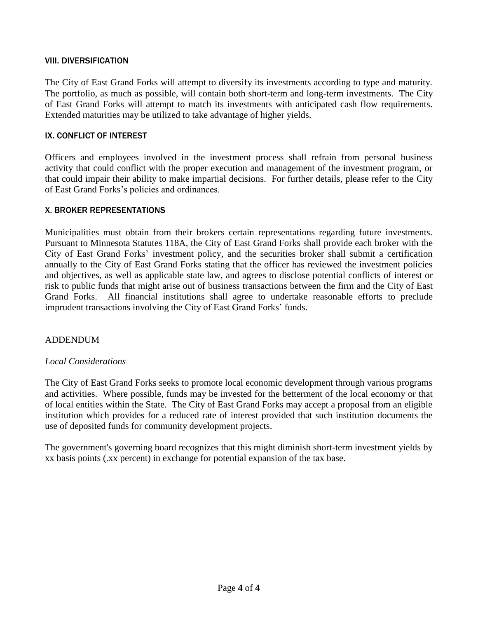#### VIII. DIVERSIFICATION

The City of East Grand Forks will attempt to diversify its investments according to type and maturity. The portfolio, as much as possible, will contain both short-term and long-term investments. The City of East Grand Forks will attempt to match its investments with anticipated cash flow requirements. Extended maturities may be utilized to take advantage of higher yields.

#### IX. CONFLICT OF INTEREST

Officers and employees involved in the investment process shall refrain from personal business activity that could conflict with the proper execution and management of the investment program, or that could impair their ability to make impartial decisions. For further details, please refer to the City of East Grand Forks's policies and ordinances.

#### X. BROKER REPRESENTATIONS

Municipalities must obtain from their brokers certain representations regarding future investments. Pursuant to Minnesota Statutes 118A, the City of East Grand Forks shall provide each broker with the City of East Grand Forks' investment policy, and the securities broker shall submit a certification annually to the City of East Grand Forks stating that the officer has reviewed the investment policies and objectives, as well as applicable state law, and agrees to disclose potential conflicts of interest or risk to public funds that might arise out of business transactions between the firm and the City of East Grand Forks. All financial institutions shall agree to undertake reasonable efforts to preclude imprudent transactions involving the City of East Grand Forks' funds.

#### ADDENDUM

#### *Local Considerations*

The City of East Grand Forks seeks to promote local economic development through various programs and activities. Where possible, funds may be invested for the betterment of the local economy or that of local entities within the State. The City of East Grand Forks may accept a proposal from an eligible institution which provides for a reduced rate of interest provided that such institution documents the use of deposited funds for community development projects.

The government's governing board recognizes that this might diminish short-term investment yields by xx basis points (.xx percent) in exchange for potential expansion of the tax base.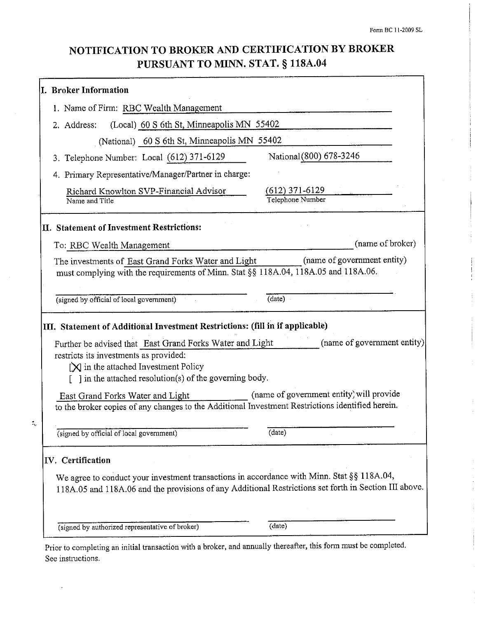# NOTIFICATION TO BROKER AND CERTIFICATION BY BROKER PURSUANT TO MINN. STAT. § 118A.04

| 1. Name of Firm: RBC Wealth Management                                                                                                                                                                                                                                                                                                                                                                      |                                                    |
|-------------------------------------------------------------------------------------------------------------------------------------------------------------------------------------------------------------------------------------------------------------------------------------------------------------------------------------------------------------------------------------------------------------|----------------------------------------------------|
| (Local) 60 S 6th St, Minneapolis MN 55402<br>2. Address:                                                                                                                                                                                                                                                                                                                                                    |                                                    |
| (National) 60 S 6th St, Minneapolis MN 55402                                                                                                                                                                                                                                                                                                                                                                |                                                    |
| 3. Telephone Number: Local (612) 371-6129                                                                                                                                                                                                                                                                                                                                                                   | National (800) 678-3246                            |
| 4. Primary Representative/Manager/Partner in charge:                                                                                                                                                                                                                                                                                                                                                        |                                                    |
| Richard Knowlton SVP-Financial Advisor<br>Name and Title                                                                                                                                                                                                                                                                                                                                                    | $(612)$ 371-6129<br>Telephone Number               |
| II. Statement of Investment Restrictions:                                                                                                                                                                                                                                                                                                                                                                   |                                                    |
| To: RBC Wealth Management                                                                                                                                                                                                                                                                                                                                                                                   | (name of broker)                                   |
| The investments of East Grand Forks Water and Light<br>must complying with the requirements of Minn. Stat §§ 118A.04, 118A.05 and 118A.06.                                                                                                                                                                                                                                                                  | (name of government entity)                        |
| (signed by official of local government)                                                                                                                                                                                                                                                                                                                                                                    | (data)                                             |
|                                                                                                                                                                                                                                                                                                                                                                                                             |                                                    |
| Further be advised that East Grand Forks Water and Light<br>restricts its investments as provided:<br>$[\mathbf{\times}]$ in the attached Investment Policy<br>[ ] in the attached resolution(s) of the governing body.<br>East Grand Forks Water and Light<br>to the broker copies of any changes to the Additional Investment Restrictions identified herein.<br>(signed by official of local government) | (name of government entity) will provide<br>(date) |
|                                                                                                                                                                                                                                                                                                                                                                                                             |                                                    |
|                                                                                                                                                                                                                                                                                                                                                                                                             |                                                    |
| III. Statement of Additional Investment Restrictions: (fill in if applicable)<br>IV. Certification<br>We agree to conduct your investment transactions in accordance with Minn. Stat §§ 118A.04,<br>118A.05 and 118A.06 and the provisions of any Additional Restrictions set forth in Section III above.                                                                                                   | (name of government entity)                        |

Prior to completing an initial transaction with a broker, and annually thereafter, this form must be completed. See instructions.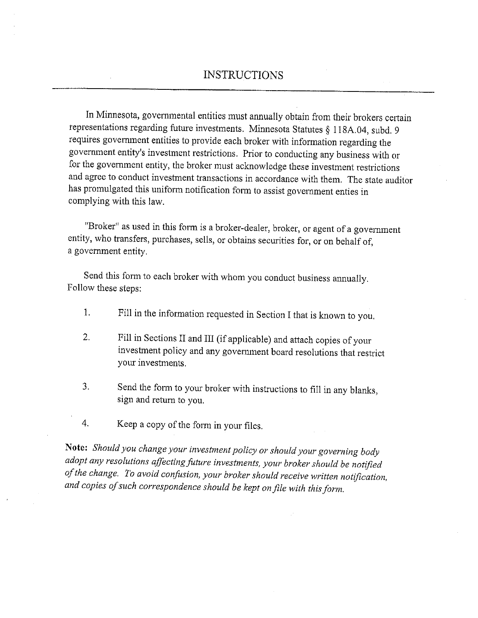In Minnesota, governmental entities must annually obtain from their brokers certain representations regarding future investments. Minnesota Statutes § 118A.04, subd. 9 requires government entities to provide each broker with information regarding the government entity's investment restrictions. Prior to conducting any business with or for the government entity, the broker must acknowledge these investment restrictions and agree to conduct investment transactions in accordance with them. The state auditor has promulgated this uniform notification form to assist government enties in complying with this law.

"Broker" as used in this form is a broker-dealer, broker, or agent of a government entity, who transfers, purchases, sells, or obtains securities for, or on behalf of, a government entity.

Send this form to each broker with whom you conduct business annually. Follow these steps:

- Fill in the information requested in Section I that is known to you. 1.
- Fill in Sections II and III (if applicable) and attach copies of your  $\overline{2}$ . investment policy and any government board resolutions that restrict your investments.
- $3.$ Send the form to your broker with instructions to fill in any blanks, sign and return to you.
- 4. Keep a copy of the form in your files.

Note: Should you change your investment policy or should your governing body adopt any resolutions affecting future investments, your broker should be notified of the change. To avoid confusion, your broker should receive written notification, and copies of such correspondence should be kept on file with this form.